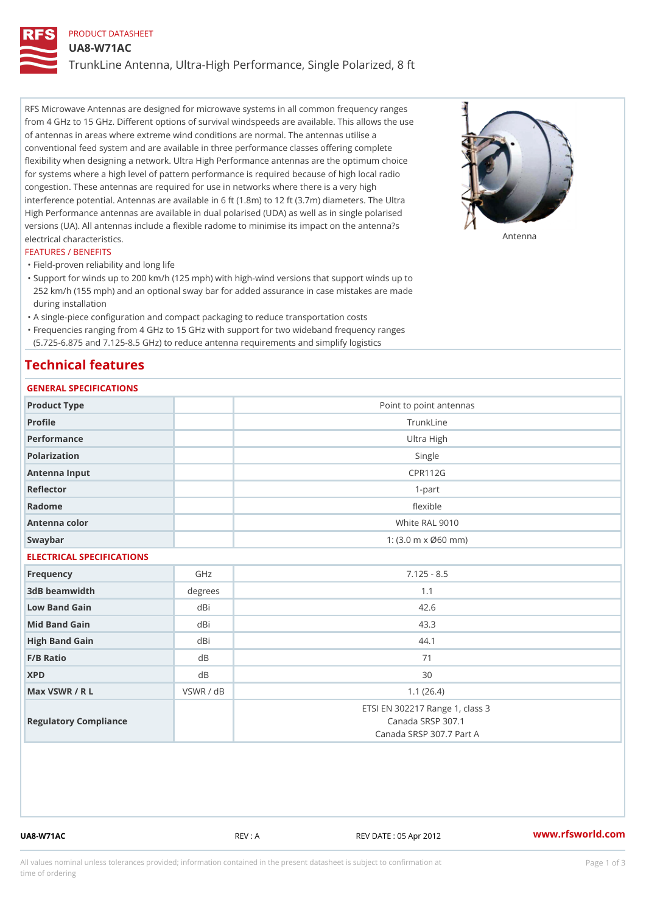# PRODUCT DATASHEET UA8-W71AC TrunkLine Antenna, Ultra-High Performance, Single Polarized, 8 ft

RFS Microwave Antennas are designed for microwave systems in all common frequency ranges from 4 GHz to 15 GHz. Different options of survival windspeeds are available. This allows the use of antennas in areas where extreme wind conditions are normal. The antennas utilise a conventional feed system and are available in three performance classes offering complete flexibility when designing a network. Ultra High Performance antennas are the optimum choice for systems where a high level of pattern performance is required because of high local radio congestion. These antennas are required for use in networks where there is a very high interference potential. Antennas are available in 6 ft (1.8m) to 12 ft (3.7m) diameters. The Ultra High Performance antennas are available in dual polarised (UDA) as well as in single polarised versions (UA). All antennas include a flexible radome to minimise its impact on the antenna?s electrical characteristics. Antenna

## FEATURES / BENEFITS

"Field-proven reliability and long life

- Support for winds up to 200 km/h (125 mph) with high-wind versions that support winds up to " 252 km/h (155 mph) and an optional sway bar for added assurance in case mistakes are made during installation
- "A single-piece configuration and compact packaging to reduce transportation costs
- Frequencies ranging from 4 GHz to 15 GHz with support for two wideband frequency ranges "
- (5.725-6.875 and 7.125-8.5 GHz) to reduce antenna requirements and simplify logistics

# Technical features

# GENERAL SPECIFICATIONS

| GENERAL SPECIFICATIONS    |           |                                                                                  |  |  |  |
|---------------------------|-----------|----------------------------------------------------------------------------------|--|--|--|
| Product Type              |           | Point to point antennas                                                          |  |  |  |
| Profile                   |           | TrunkLine                                                                        |  |  |  |
| Performance               |           | Ultra High                                                                       |  |  |  |
| Polarization              |           | Single                                                                           |  |  |  |
| Antenna Input             |           | <b>CPR112G</b>                                                                   |  |  |  |
| Reflector                 |           | $1 - p$ art                                                                      |  |  |  |
| Radome                    |           | flexible                                                                         |  |  |  |
| Antenna color             |           | White RAL 9010                                                                   |  |  |  |
| Swaybar                   |           | 1: $(3.0 \, \text{m} \times \emptyset 60 \, \text{mm})$                          |  |  |  |
| ELECTRICAL SPECIFICATIONS |           |                                                                                  |  |  |  |
| Frequency                 | GHz       | $7.125 - 8.5$                                                                    |  |  |  |
| 3dB beamwidth             | degree:   | 1.1                                                                              |  |  |  |
| Low Band Gain             | dBi       | 42.6                                                                             |  |  |  |
| Mid Band Gain             | dBi       | 43.3                                                                             |  |  |  |
| High Band Gain            | dBi       | 44.1                                                                             |  |  |  |
| $F/B$ Ratio               | $d$ B     | 71                                                                               |  |  |  |
| <b>XPD</b>                | d B       | 30                                                                               |  |  |  |
| Max VSWR / R L            | VSWR / dB | 1.1(26.4)                                                                        |  |  |  |
| Regulatory Compliance     |           | ETSI EN 302217 Range 1, class 3<br>Canada SRSP 307.1<br>Canada SRSP 307.7 Part A |  |  |  |

UA8-W71AC REV : A REV DATE : 05 Apr 2012 [www.](https://www.rfsworld.com)rfsworld.com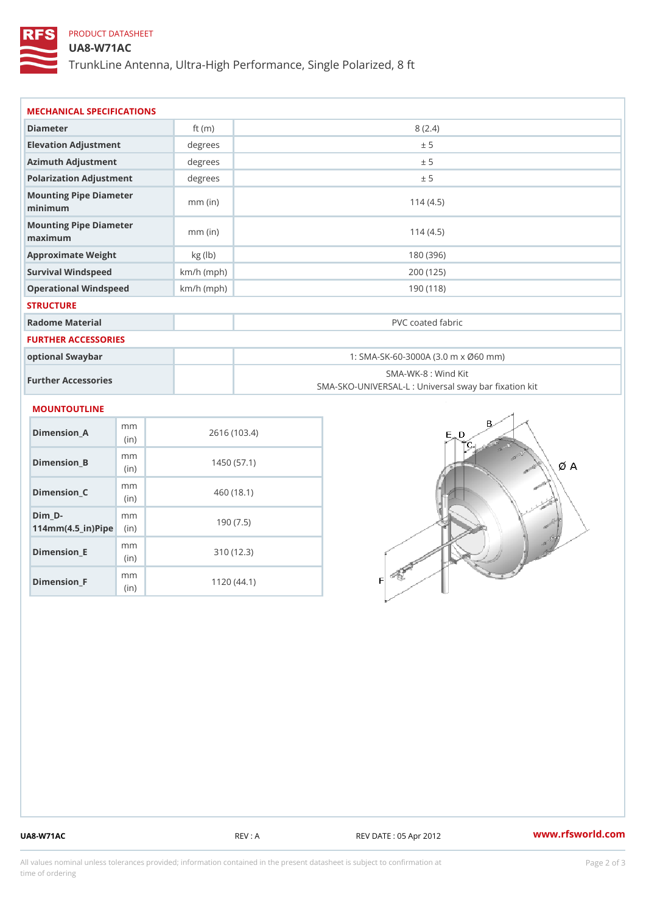## PRODUCT DATASHEET

### UA8-W71AC

TrunkLine Antenna, Ultra-High Performance, Single Polarized, 8 ft

| MECHANICAL SPECIFICATIONS                                                                |              |                                                                          |
|------------------------------------------------------------------------------------------|--------------|--------------------------------------------------------------------------|
| Diameter                                                                                 | ft $(m)$     | 8(2.4)                                                                   |
| Elevation Adjustment                                                                     | degrees      | ± 5                                                                      |
| Azimuth Adjustment                                                                       | degree:      | ± 5                                                                      |
| Polarization Adjustment                                                                  | degrees      | ± 5                                                                      |
| Mounting Pipe Diameter<br>minimum                                                        | $mm$ (in)    | 114(4.5)                                                                 |
| Mounting Pipe Diameter<br>maximum                                                        | $mm$ (in)    | 114(4.5)                                                                 |
| Approximate Weight                                                                       | kg (1b)      | 180 (396)                                                                |
| Survival Windspeed                                                                       | $km/h$ (mph) | 200 (125)                                                                |
| Operational Windspeed                                                                    | $km/h$ (mph) | 190 (118)                                                                |
| <b>STRUCTURE</b>                                                                         |              |                                                                          |
| Radome Material                                                                          |              | PVC coated fabric                                                        |
| FURTHER ACCESSORIES                                                                      |              |                                                                          |
| optional Swaybar                                                                         |              | 1: SMA-SK-60-3000A (3.0 m x Ø60 mm)                                      |
| Further Accessories                                                                      |              | SMA-WK-8 : Wind Kit<br>SMA-SKO-UNIVERSAL-L : Universal sway bar fixation |
| MOUNTOUTLINE                                                                             |              |                                                                          |
| m m<br>$Dimension_A$<br>(in)                                                             |              | 2616 (103.4)                                                             |
| m m<br>Dimension_B<br>(in)                                                               |              | 1450(57.1)                                                               |
| m m<br>$Dimension_C$<br>(in)                                                             |              | 460 (18.1)                                                               |
| $Dim_D - D -$<br>m <sub>m</sub><br>$114$ m m $(4.5$ ir $)$ $\sqrt{$ ii $\sqrt{p}}$ $\ge$ |              | 190(7.5)                                                                 |
|                                                                                          |              |                                                                          |

Dimension\_E

Dimension\_F

mm (in)

m<sub>m</sub> (in)

310 (12.3)

1120 (44.1)

UA8-W71AC REV : A REV : A REV DATE : 05 Apr 2012 WWW.rfsworld.com